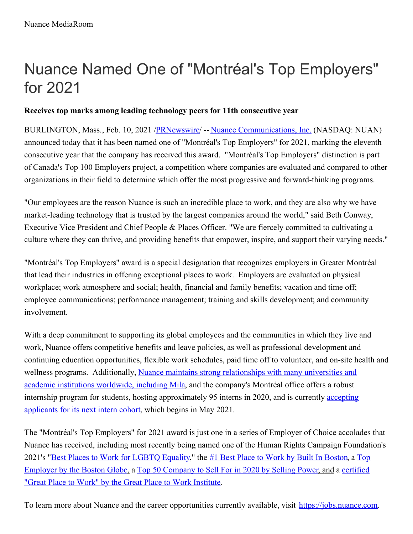# Nuance Named One of "Montréal's Top Employers" for 2021

# **Receives top marks among leading technology peers for 11th consecutive year**

BURLINGTON, Mass., Feb. 10, 2021 [/PRNewswire](http://www.prnewswire.com/)/ -- Nuance [Communications,](https://c212.net/c/link/?t=0&l=en&o=3062914-1&h=3352489579&u=https%3A%2F%2Fwww.nuance.com%2Findex.html&a=Nuance+Communications%2C+Inc.) Inc. (NASDAQ: NUAN) announced today that it has been named one of "Montréal's Top Employers" for 2021, marking the eleventh consecutive year that the company has received this award. "Montréal's Top Employers" distinction is part of Canada's Top 100 Employers project, a competition where companies are evaluated and compared to other organizations in their field to determine which offer the most progressive and forward-thinking programs.

"Our employees are the reason Nuance is such an incredible place to work, and they are also why we have market-leading technology that is trusted by the largest companies around the world," said Beth Conway, Executive Vice President and Chief People & Places Officer. "We are fiercely committed to cultivating a culture where they can thrive, and providing benefits that empower, inspire, and support their varying needs."

"Montréal's Top Employers" award is a special designation that recognizes employers in Greater Montréal that lead their industries in offering exceptional places to work. Employers are evaluated on physical workplace; work atmosphere and social; health, financial and family benefits; vacation and time off; employee communications; performance management; training and skills development; and community involvement.

With a deep commitment to supporting its global employees and the communities in which they live and work, Nuance offers competitive benefits and leave policies, as well as professional development and continuing education opportunities, flexible work schedules, paid time off to volunteer, and on-site health and wellness programs. [Additionally,](https://c212.net/c/link/?t=0&l=en&o=3062914-1&h=3508286910&u=https%3A%2F%2Fnews.nuance.com%2F2019-06-26-Nuance-Signs-Strategic-Partnership-with-World-Renowned-Mila-Quebec-Artificial-Intelligence-Institute&a=Nuance+maintains+strong+relationships+with+many+universities+and+academic+institutions+worldwide%2C+including+Mila) Nuance maintains strong relationships with many universities and academic institutions worldwide, including Mila, and the company's Montréal office offers a robust internship program for students, hosting [approximately](https://c212.net/c/link/?t=0&l=en&o=3062914-1&h=4155056002&u=https%3A%2F%2Fwww.nuance.com%2Fabout-us%2Fcareers%2Fjob-listings.html%3Ffilter%3DInternship%26jobsearch%3Dtrue&a=accepting+applicants+for+its+next+intern+cohort) 95 interns in 2020, and is currently accepting applicants for its next intern cohort, which begins in May 2021.

The "Montréal's Top Employers" for 2021 award is just one in a series of Employer of Choice accolades that Nuance has received, including most recently being named one of the Human Rights Campaign Foundation's 2021's "Best Places to Work for [LGBTQ](https://c212.net/c/link/?t=0&l=en&o=3062914-1&h=380810093&u=https%3A%2F%2Fnews.nuance.com%2F2021-01-28-Nuance-Named-2021-Best-Places-to-Work-for-LGBTQ-Equality-by-Human-Rights-Campaign-Foundation&a=Best+Places+to+Work+for+LGBTQ+Equality) [Equality,"](https://c212.net/c/link/?t=0&l=en&o=3062914-1&h=3268636192&u=https%3A%2F%2Fnews.nuance.com%2F2020-11-23-The-Boston-Globe-Names-Nuance-a-Top-Place-to-Work-for-2020&a=Top+Employer+by+the+Boston+Globe) the #1 Best Place to Work by Built In [Boston](https://c212.net/c/link/?t=0&l=en&o=3062914-1&h=2319936356&u=https%3A%2F%2Fnews.nuance.com%2F2021-01-11-Nuance-Named-1-Best-Place-to-Work-by-Built-In-Boston&a=%231+Best+Place+to+Work+by+Built+In+Boston), a Top [Employer](https://c212.net/c/link/?t=0&l=en&o=3062914-1&h=1800387732&u=https%3A%2F%2Fwww.greatplacetowork.com%2Fcertified-company%2F1238961&a=certified+%22Great+Place+to+Work%22+by+the+Great+Place+to+Work+Institute) by the Boston Globe, a Top 50 [Company](https://c212.net/c/link/?t=0&l=en&o=3062914-1&h=3462627236&u=https%3A%2F%2Fnews.nuance.com%2F2020-07-09-Nuance-Recognized-as-a-Best-Company-to-Sell-For-by-Selling-Power&a=Top+50+Company+to+Sell+For+in+2020+by+Selling+Power) to Sell For in 2020 by Selling Power, and a certified "Great Place to Work" by the Great Place to Work Institute.

To learn more about Nuance and the career opportunities currently available, visit [https://jobs.nuance.com](https://c212.net/c/link/?t=0&l=en&o=3062914-1&h=1877667804&u=https%3A%2F%2Fjobs.nuance.com%2F&a=https%3A%2F%2Fjobs.nuance.com).